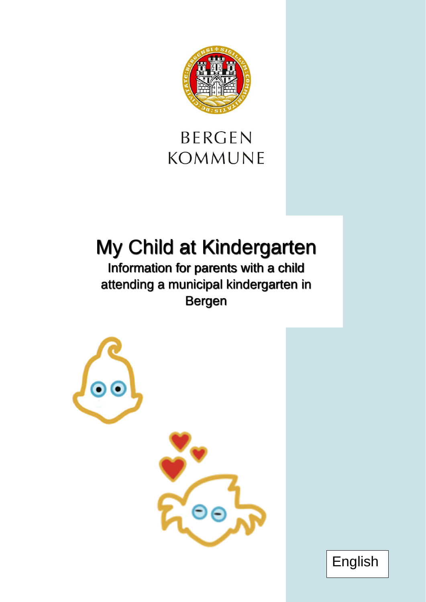

## **BERGEN KOMMUNE**

# My Child at Kindergarten

Information for parents with a child attending a municipal kindergarten in Bergen



English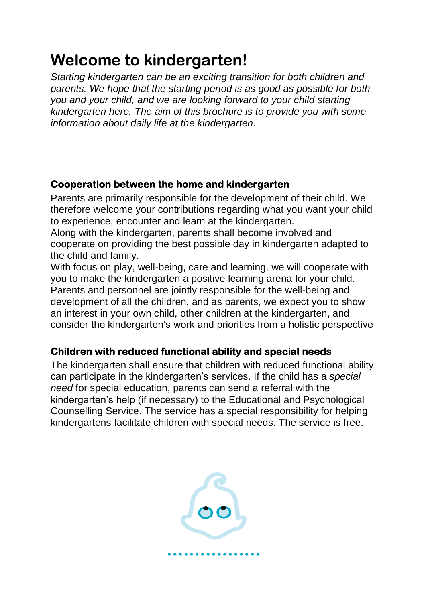### **Welcome to kindergarten!**

*Starting kindergarten can be an exciting transition for both children and parents. We hope that the starting period is as good as possible for both you and your child, and we are looking forward to your child starting kindergarten here. The aim of this brochure is to provide you with some information about daily life at the kindergarten.*

#### **Cooperation between the home and kindergarten**

Parents are primarily responsible for the development of their child. We therefore welcome your contributions regarding what you want your child to experience, encounter and learn at the kindergarten.

Along with the kindergarten, parents shall become involved and cooperate on providing the best possible day in kindergarten adapted to the child and family.

With focus on play, well-being, care and learning, we will cooperate with you to make the kindergarten a positive learning arena for your child. Parents and personnel are jointly responsible for the well-being and development of all the children, and as parents, we expect you to show an interest in your own child, other children at the kindergarten, and consider the kindergarten's work and priorities from a holistic perspective

#### **Children with reduced functional ability and special needs**

The kindergarten shall ensure that children with reduced functional ability can participate in the kindergarten's services. If the child has a *special need* for special education, parents can send a [referral](https://www.bergen.kommune.no/skjema/Info.aspx?ShortName=BK030-SKOLE-ppt) with the kindergarten's help (if necessary) to the Educational and Psychological Counselling Service. The service has a special responsibility for helping kindergartens facilitate children with special needs. The service is free.

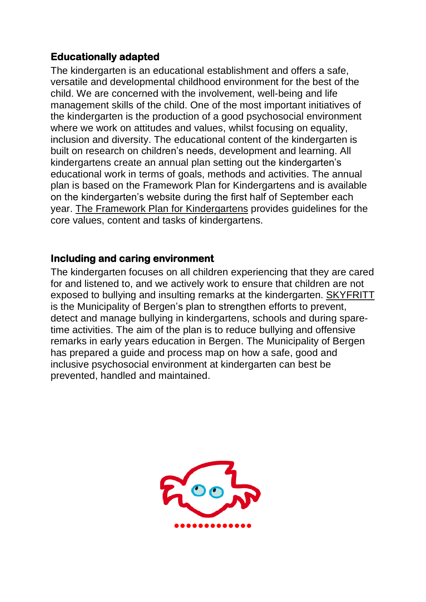#### **Educationally adapted**

The kindergarten is an educational establishment and offers a safe, versatile and developmental childhood environment for the best of the child. We are concerned with the involvement, well-being and life management skills of the child. One of the most important initiatives of the kindergarten is the production of a good psychosocial environment where we work on attitudes and values, whilst focusing on equality, inclusion and diversity. The educational content of the kindergarten is built on research on children's needs, development and learning. All kindergartens create an annual plan setting out the kindergarten's educational work in terms of goals, methods and activities. The annual plan is based on the Framework Plan for Kindergartens and is available on the kindergarten's website during the first half of September each year. [The Framework Plan](https://www.udir.no/globalassets/filer/barnehage/rammeplan/rammeplan-for-barnehagen-bokmal2017.pdf) for Kindergartens provides guidelines for the core values, content and tasks of kindergartens.

#### **Including and caring environment**

The kindergarten focuses on all children experiencing that they are cared for and listened to, and we actively work to ensure that children are not exposed to bullying and insulting remarks at the kindergarten. [SKYFRITT](https://www.bergen.kommune.no/politikere-utvalg/api/fil/1298542/SKYFRITT-inkluderende-oppvekstmiljo-for-barn-og-unge-i-Bergen) is the Municipality of Bergen's plan to strengthen efforts to prevent, detect and manage bullying in kindergartens, schools and during sparetime activities. The aim of the plan is to reduce bullying and offensive remarks in early years education in Bergen. The Municipality of Bergen has prepared a guide and process map on how a safe, good and inclusive psychosocial environment at kindergarten can best be prevented, handled and maintained.

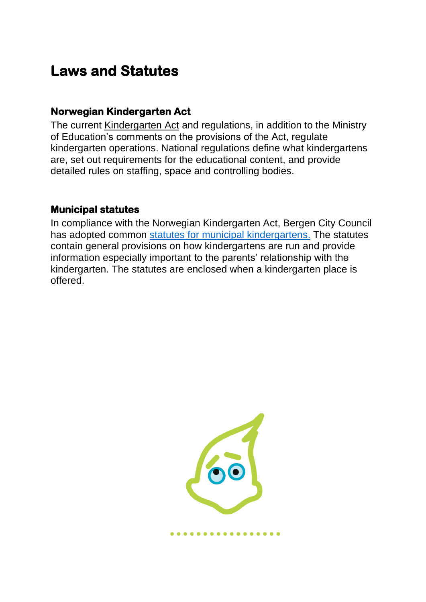### **Laws and Statutes**

#### **Norwegian Kindergarten Act**

The current [Kindergarten Act](https://lovdata.no/dokument/NL/lov/2005-06-17-64) and regulations, in addition to the Ministry of Education's comments on the provisions of the Act, regulate kindergarten operations. National regulations define what kindergartens are, set out requirements for the educational content, and provide detailed rules on staffing, space and controlling bodies.

#### **Municipal statutes**

In compliance with the Norwegian Kindergarten Act, Bergen City Council has adopted common [statutes for municipal](https://allmenningen.bergen.kommune.no/styringsdokument/SD-19-76) kindergartens. The statutes contain general provisions on how kindergartens are run and provide information especially important to the parents' relationship with the kindergarten. The statutes are enclosed when a kindergarten place is offered.

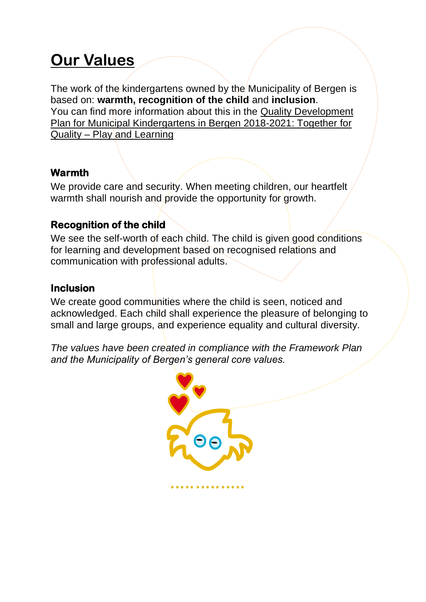## **Our Values**

The work of the kindergartens owned by the Municipality of Bergen is based on: **warmth, recognition of the child** and **inclusion**. You can find more information about this in the [Quality Development](https://issuu.com/hg-9/docs/10491300_rapport-issuu?e=19530043/64108839)  [Plan for Municipal Kindergartens in Bergen 2018-2021: Together for](https://issuu.com/hg-9/docs/10491300_rapport-issuu?e=19530043/64108839)  Quality – [Play and Learning](https://issuu.com/hg-9/docs/10491300_rapport-issuu?e=19530043/64108839) 

#### **Warmth**

We provide care and security. When meeting children, our heartfelt warmth shall nourish and provide the opportunity for growth.

#### **Recognition of the child**

We see the self-worth of each child. The child is given good conditions for learning and development based on recognised relations and communication with professional adults.

#### **Inclusion**

We create good communities where the child is seen, noticed and acknowledged. Each child shall experience the pleasure of belonging to small and large groups, and experience equality and cultural diversity.

*The values have been created in compliance with the Framework Plan and the Municipality of Bergen's general core values.*

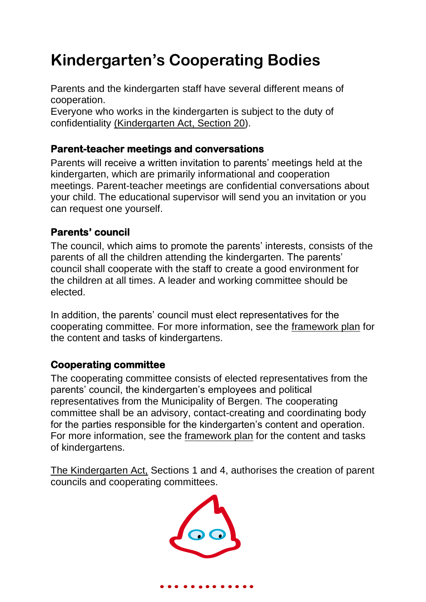## **Kindergarten's Cooperating Bodies**

Parents and the kindergarten staff have several different means of cooperation.

Everyone who works in the kindergarten is subject to the duty of confidentiality [\(Kindergarten Act, Section 20\)](https://lovdata.no/dokument/NL/lov/2005-06-17-64?q=§20%20barnehageloven).

#### **Parent-teacher meetings and conversations**

Parents will receive a written invitation to parents' meetings held at the kindergarten, which are primarily informational and cooperation meetings. Parent-teacher meetings are confidential conversations about your child. The educational supervisor will send you an invitation or you can request one yourself.

#### **Parents' council**

The council, which aims to promote the parents' interests, consists of the parents of all the children attending the kindergarten. The parents' council shall cooperate with the staff to create a good environment for the children at all times. A leader and working committee should be elected.

In addition, the parents' council must elect representatives for the cooperating committee. For more information, see the [framework plan](https://www.udir.no/globalassets/filer/barnehage/rammeplan/rammeplan-for-barnehagen-bokmal2017.pdf) for the content and tasks of kindergartens.

#### **Cooperating committee**

The cooperating committee consists of elected representatives from the parents' council, the kindergarten's employees and political representatives from the Municipality of Bergen. The cooperating committee shall be an advisory, contact-creating and coordinating body for the parties responsible for the kindergarten's content and operation. For more information, see the [framework plan](https://www.udir.no/globalassets/filer/barnehage/rammeplan/rammeplan-for-barnehagen-bokmal2017.pdf) for the content and tasks of kindergartens.

[The Kindergarten](https://lovdata.no/dokument/LTI/lov/2005-06-17-64) Act, Sections 1 and 4, authorises the creation of parent councils and cooperating committees.

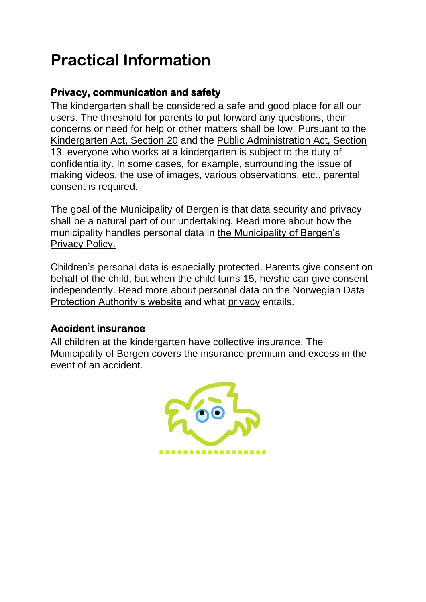### **Practical Information**

#### **Privacy, communication and safety**

The kindergarten shall be considered a safe and good place for all our users. The threshold for parents to put forward any questions, their concerns or need for help or other matters shall be low. Pursuant to the [Kindergarten Act, Section 2](https://lovdata.no/dokument/NL/lov/2005-06-17-64?q=§20%20barnehageloven)0 and the [Public Administration Act, Section](https://lovdata.no/dokument/NL/lov/1967-02-10/KAPITTEL_3#%C2%A713)  [13,](https://lovdata.no/dokument/NL/lov/1967-02-10/KAPITTEL_3#%C2%A713) everyone who works at a kindergarten is subject to the duty of confidentiality. In some cases, for example, surrounding the issue of making videos, the use of images, various observations, etc., parental consent is required.

The goal of the Municipality of Bergen is that data security and privacy shall be a natural part of our undertaking. Read more about how the municipality handles personal data in [the Municipality of Bergen's](https://www.bergen.kommune.no/hvaskjer/tema/personvern/personvernerklaring-for-bergen-kommune)  [Privacy Policy.](https://www.bergen.kommune.no/hvaskjer/tema/personvern/personvernerklaring-for-bergen-kommune)

Children's personal data is especially protected. Parents give consent on behalf of the child, but when the child turns 15, he/she can give consent independently. Read more about [personal data](https://www.datatilsynet.no/om-datatilsynet/datatilsynets-personvernerklaring/) on the [Norwegian Data](https://www.datatilsynet.no/rettigheter-og-plikter/personvernprinsippene/grunnleggende-personvernprinsipper/)  [Protection Authority's website](https://www.datatilsynet.no/rettigheter-og-plikter/personvernprinsippene/grunnleggende-personvernprinsipper/) and what [privacy](https://www.datatilsynet.no/rettigheter-og-plikter/personvernprinsippene/grunnleggende-personvernprinsipper/) entails.

#### **Accident insurance**

All children at the kindergarten have collective insurance. The Municipality of Bergen covers the insurance premium and excess in the event of an accident.

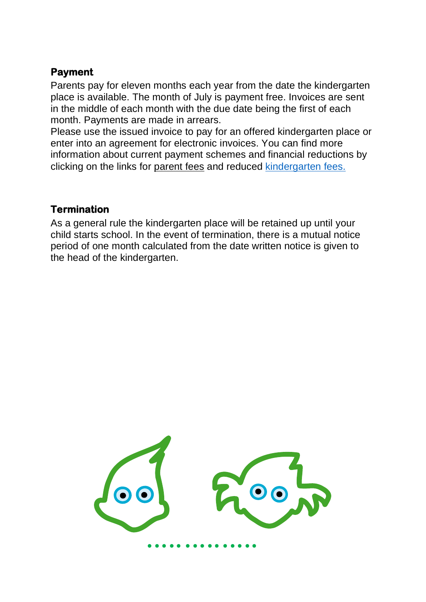#### **Payment**

Parents pay for eleven months each year from the date the kindergarten place is available. The month of July is payment free. Invoices are sent in the middle of each month with the due date being the first of each month. Payments are made in arrears.

Please use the issued invoice to pay for an offered kindergarten place or enter into an agreement for electronic invoices. You can find more information about current payment schemes and financial reductions by clicking on the links for [parent fees](https://www.udir.no/regelverk-og-tilsyn/barnehage/foreldrebetaling/) and reduced [kindergarten fees.](https://www.bergen.kommune.no/innbyggerhjelpen/barn-og-familie/barnehage/barnehageplass/redusert-foreldrebetaling-i-barnehage-og-sfo)

#### **Termination**

As a general rule the kindergarten place will be retained up until your child starts school. In the event of termination, there is a mutual notice period of one month calculated from the date written notice is given to the head of the kindergarten.

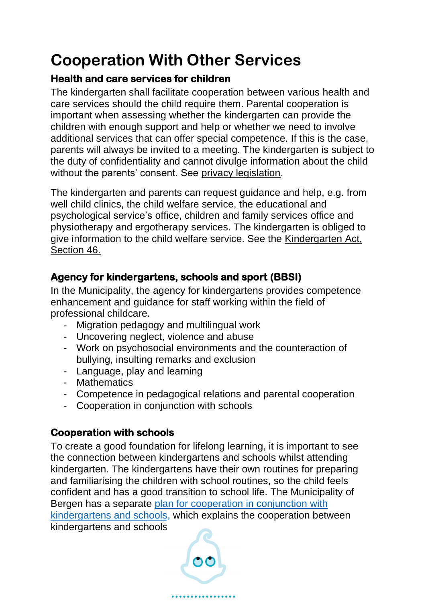## **Cooperation With Other Services**

#### **Health and care services for children**

The kindergarten shall facilitate cooperation between various health and care services should the child require them. Parental cooperation is important when assessing whether the kindergarten can provide the children with enough support and help or whether we need to involve additional services that can offer special competence. If this is the case, parents will always be invited to a meeting. The kindergarten is subject to the duty of confidentiality and cannot divulge information about the child without the parents' consent. See [privacy legislation.](https://lovdata.no/dokument/NL/lov/2018-06-15-38?q=personvernlovgivning)

The kindergarten and parents can request guidance and help, e.g. from well child clinics, the child welfare service, the educational and psychological service's office, children and family services office and physiotherapy and ergotherapy services. The kindergarten is obliged to give information to the child welfare service. See the [Kindergarten Act,](https://lovdata.no/dokument/NL/lov/2005-06-17-64?q=§20%20barnehageloven) Section 46.

#### **Agency for kindergartens, schools and sport (BBSI)**

In the Municipality, the agency for kindergartens provides competence enhancement and guidance for staff working within the field of professional childcare.

- Migration pedagogy and multilingual work
- Uncovering neglect, violence and abuse
- Work on psychosocial environments and the counteraction of bullying, insulting remarks and exclusion
- Language, play and learning
- Mathematics
- Competence in pedagogical relations and parental cooperation
- Cooperation in conjunction with schools

#### **Cooperation with schools**

To create a good foundation for lifelong learning, it is important to see the connection between kindergartens and schools whilst attending kindergarten. The kindergartens have their own routines for preparing and familiarising the children with school routines, so the child feels confident and has a good transition to school life. The Municipality of Bergen has a separate [plan for cooperation in conjunction](https://bergen.extend.no/cgi-bin/document.pl?pid=bergen&UnitID=5129&DocumentID=13778) with [kindergartens and schools,](https://bergen.extend.no/cgi-bin/document.pl?pid=bergen&UnitID=5129&DocumentID=13778) which explains the cooperation between kindergartens and schools.

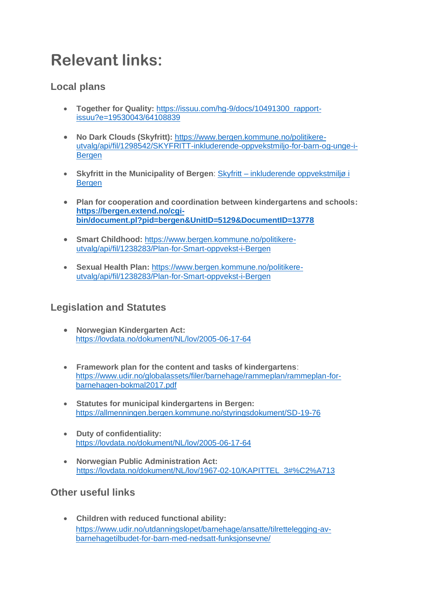### **Relevant links:**

#### **Local plans**

- **Together for Quality:** [https://issuu.com/hg-9/docs/10491300\\_rapport](https://issuu.com/hg-9/docs/10491300_rapport-issuu?e=19530043/64108839)[issuu?e=19530043/64108839](https://issuu.com/hg-9/docs/10491300_rapport-issuu?e=19530043/64108839)
- **No Dark Clouds (Skyfritt):** [https://www.bergen.kommune.no/politikere](https://www.bergen.kommune.no/politikere-utvalg/api/fil/1298542/SKYFRITT-inkluderende-oppvekstmiljo-for-barn-og-unge-i-Bergen)[utvalg/api/fil/1298542/SKYFRITT-inkluderende-oppvekstmiljo-for-barn-og-unge-i-](https://www.bergen.kommune.no/politikere-utvalg/api/fil/1298542/SKYFRITT-inkluderende-oppvekstmiljo-for-barn-og-unge-i-Bergen)**[Bergen](https://www.bergen.kommune.no/politikere-utvalg/api/fil/1298542/SKYFRITT-inkluderende-oppvekstmiljo-for-barn-og-unge-i-Bergen)**
- **Skyfritt in the Municipality of Bergen**: Skyfritt [inkluderende oppvekstmiljø i](https://www.bergen.kommune.no/hvaskjer/tema/skyfrittinkluderende-oppvekstmiljo-i-bergen)  [Bergen](https://www.bergen.kommune.no/hvaskjer/tema/skyfrittinkluderende-oppvekstmiljo-i-bergen)
- **[Plan for cooperation and coordination between kindergartens and schools:](https://www.bergen.kommune.no/bk/multimedia/archive/00187/Plan_for_samarbeid__187739a.pdf) [https://bergen.extend.no/cgi](https://bergen.extend.no/cgi-bin/document.pl?pid=bergen&UnitID=5129&DocumentID=13778)[bin/document.pl?pid=bergen&UnitID=5129&DocumentID=13778](https://bergen.extend.no/cgi-bin/document.pl?pid=bergen&UnitID=5129&DocumentID=13778)**
- **Smart Childhood:** [https://www.bergen.kommune.no/politikere](https://www.bergen.kommune.no/politikere-utvalg/api/fil/1238283/Plan-for-Smart-oppvekst-i-Bergen)[utvalg/api/fil/1238283/Plan-for-Smart-oppvekst-i-Bergen](https://www.bergen.kommune.no/politikere-utvalg/api/fil/1238283/Plan-for-Smart-oppvekst-i-Bergen)
- **Sexual Health Plan:** [https://www.bergen.kommune.no/politikere](https://www.bergen.kommune.no/politikere-utvalg/api/fil/1238283/Plan-for-Smart-oppvekst-i-Bergen)[utvalg/api/fil/1238283/Plan-for-Smart-oppvekst-i-Bergen](https://www.bergen.kommune.no/politikere-utvalg/api/fil/1238283/Plan-for-Smart-oppvekst-i-Bergen)

#### **Legislation and Statutes**

- **Norwegian Kindergarten Act:**  <https://lovdata.no/dokument/NL/lov/2005-06-17-64>
- **Framework plan for the content and tasks of kindergartens**: [https://www.udir.no/globalassets/filer/barnehage/rammeplan/rammeplan-for](https://www.udir.no/globalassets/filer/barnehage/rammeplan/rammeplan-for-barnehagen-bokmal2017.pdf)[barnehagen-bokmal2017.pdf](https://www.udir.no/globalassets/filer/barnehage/rammeplan/rammeplan-for-barnehagen-bokmal2017.pdf)
- **Statutes for municipal kindergartens in Bergen:** <https://allmenningen.bergen.kommune.no/styringsdokument/SD-19-76>
- **Duty of confidentiality:** <https://lovdata.no/dokument/NL/lov/2005-06-17-64>
- **Norwegian Public Administration Act:** [https://lovdata.no/dokument/NL/lov/1967-02-10/KAPITTEL\\_3#%C2%A713](https://lovdata.no/dokument/NL/lov/1967-02-10/KAPITTEL_3#%C2%A713)

#### **Other useful links**

• **Children with reduced functional ability:** [https://www.udir.no/utdanningslopet/barnehage/ansatte/tilrettelegging-av](https://www.udir.no/utdanningslopet/barnehage/ansatte/tilrettelegging-av-barnehagetilbudet-for-barn-med-nedsatt-funksjonsevne/)[barnehagetilbudet-for-barn-med-nedsatt-funksjonsevne/](https://www.udir.no/utdanningslopet/barnehage/ansatte/tilrettelegging-av-barnehagetilbudet-for-barn-med-nedsatt-funksjonsevne/)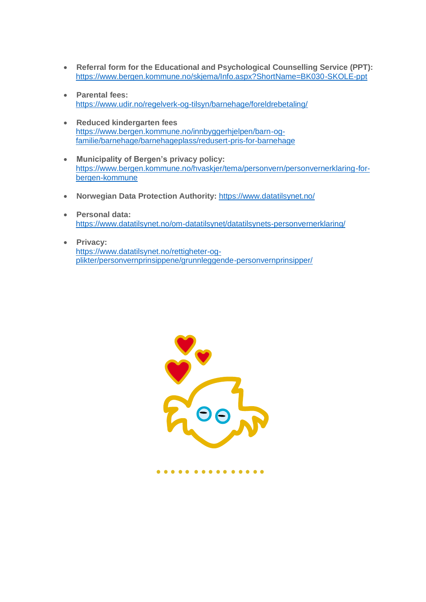- **Referral form for the Educational and Psychological Counselling Service (PPT):** <https://www.bergen.kommune.no/skjema/Info.aspx?ShortName=BK030-SKOLE-ppt>
- **Parental fees:** <https://www.udir.no/regelverk-og-tilsyn/barnehage/foreldrebetaling/>
- **Reduced kindergarten fees** [https://www.bergen.kommune.no/innbyggerhjelpen/barn-og](https://www.bergen.kommune.no/innbyggerhjelpen/barn-og-familie/barnehage/barnehageplass/redusert-pris-for-barnehage)[familie/barnehage/barnehageplass/redusert-pris-for-barnehage](https://www.bergen.kommune.no/innbyggerhjelpen/barn-og-familie/barnehage/barnehageplass/redusert-pris-for-barnehage)
- **Municipality of Bergen's privacy policy:** https://www.bergen.kommune.no/hvaskjer/tema/personvern/personvernerklaring-forbergen-kommune
- **Norwegian Data Protection Authority:** <https://www.datatilsynet.no/>
- **Personal data:** <https://www.datatilsynet.no/om-datatilsynet/datatilsynets-personvernerklaring/>
- **Privacy:** [https://www.datatilsynet.no/rettigheter-og](https://www.datatilsynet.no/rettigheter-og-plikter/personvernprinsippene/grunnleggende-personvernprinsipper/)[plikter/personvernprinsippene/grunnleggende-personvernprinsipper/](https://www.datatilsynet.no/rettigheter-og-plikter/personvernprinsippene/grunnleggende-personvernprinsipper/)